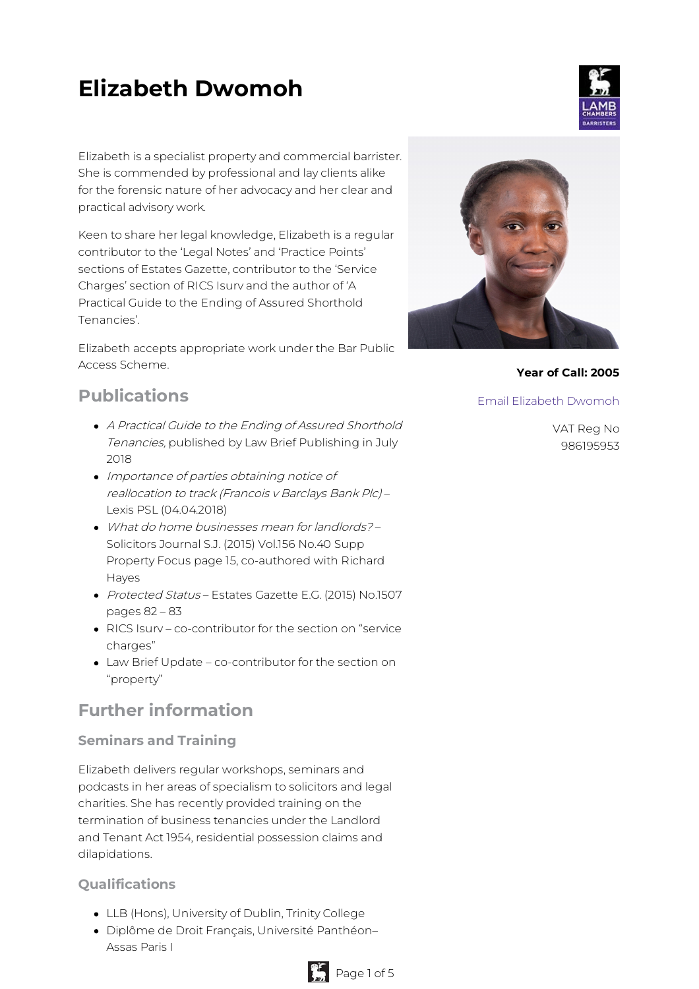# **Elizabeth Dwomoh**

Elizabeth is a specialist property and commercial barrister. She is commended by professional and lay clients alike for the forensic nature of her advocacy and her clear and practical advisory work.

Keen to share her legal knowledge, Elizabeth is a regular contributor to the 'Legal Notes' and 'Practice Points' sections of Estates Gazette, contributor to the 'Service Charges' section of RICS Isurv and the author of 'A Practical Guide to the Ending of Assured Shorthold Tenancies'.

Elizabeth accepts appropriate work under the Bar Public Access Scheme.

## **Publications**

- A Practical Guide to the Ending of Assured Shorthold Tenancies, published by Law Brief Publishing in July 2018
- Importance of parties obtaining notice of reallocation to track (Francois <sup>v</sup> Barclays Bank Plc) – Lexis PSL (04.04.2018)
- What do home businesses mean for landlords? Solicitors Journal S.J. (2015) Vol.156 No.40 Supp Property Focus page 15, co-authored with Richard Hayes
- Protected Status Estates Gazette E.G. (2015) No.1507 pages 82 – 83
- RICS Isurv co-contributor for the section on "service charges"
- Law Brief Update co-contributor for the section on "property"

# **Further information**

## **Seminars and Training**

Elizabeth delivers regular workshops, seminars and podcasts in her areas of specialism to solicitors and legal charities. She has recently provided training on the termination of business tenancies under the Landlord and Tenant Act 1954, residential possession claims and dilapidations.

## **Qualifications**

- LLB (Hons), University of Dublin, Trinity College
- Diplôme de Droit Français, Université Panthéon– Assas Paris I



**Year of Call: 2005**

Email [Elizabeth](mailto:elizabethdwomoh@lambchambers.co.uk) Dwomoh

VAT Reg No 986195953



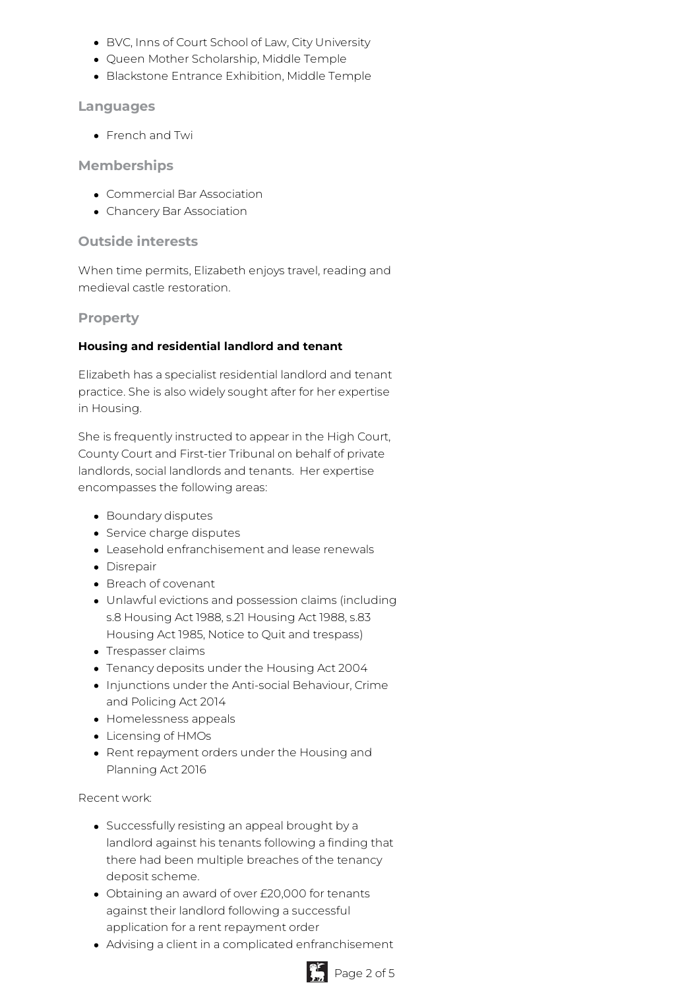- BVC, Inns of Court School of Law, City University
- Queen Mother Scholarship, Middle Temple
- Blackstone Entrance Exhibition, Middle Temple

#### **Languages**

French and Twi

#### **Memberships**

- Commercial Bar Association
- Chancery Bar Association

#### **Outside interests**

When time permits, Elizabeth enjoys travel, reading and medieval castle restoration.

#### **Property**

#### **Housing and residential landlord and tenant**

Elizabeth has a specialist residential landlord and tenant practice. She is also widely sought after for her expertise in Housing.

She is frequently instructed to appear in the High Court, County Court and First-tier Tribunal on behalf of private landlords, social landlords and tenants. Her expertise encompasses the following areas:

- Boundary disputes
- Service charge disputes
- Leasehold enfranchisement and lease renewals
- Disrepair
- Breach of covenant
- Unlawful evictions and possession claims (including s.8 Housing Act 1988, s.21 Housing Act 1988, s.83 Housing Act 1985, Notice to Quit and trespass)
- Trespasser claims
- Tenancy deposits under the Housing Act 2004
- Injunctions under the Anti-social Behaviour, Crime and Policing Act 2014
- Homelessness appeals
- Licensing of HMOs
- Rent repayment orders under the Housing and Planning Act 2016

Recent work:

- Successfully resisting an appeal brought by a landlord against his tenants following a finding that there had been multiple breaches of the tenancy deposit scheme.
- Obtaining an award of over £20,000 for tenants against their landlord following a successful application for a rent repayment order
- Advising a client in a complicated enfranchisement

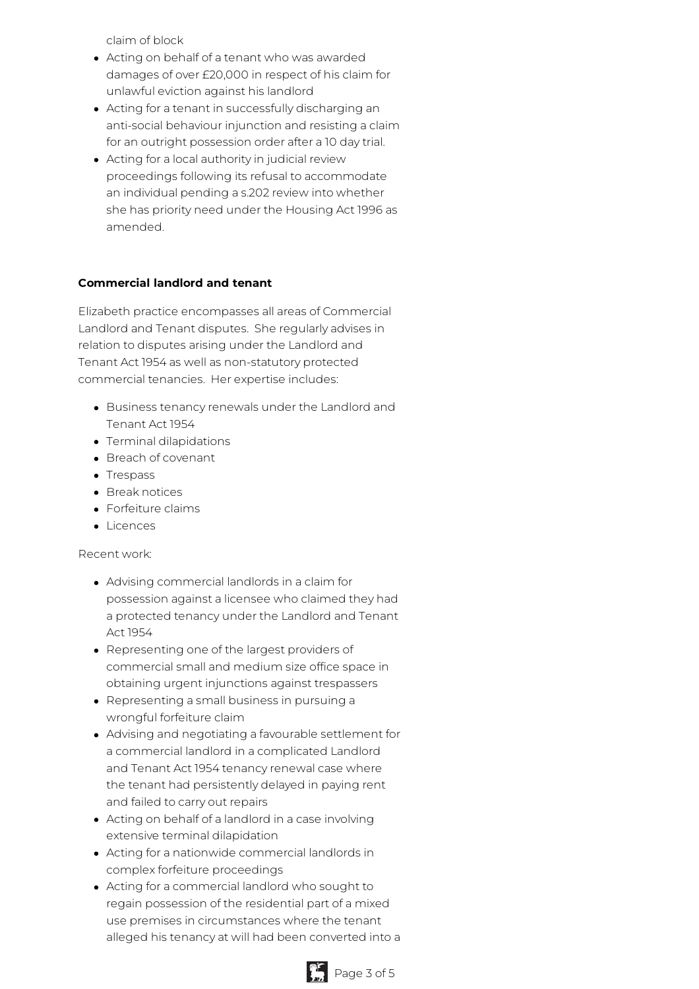claim of block

- Acting on behalf of a tenant who was awarded damages of over £20,000 in respect of his claim for unlawful eviction against his landlord
- Acting for a tenant in successfully discharging an anti-social behaviour injunction and resisting a claim for an outright possession order after a 10 day trial.
- Acting for a local authority in judicial review proceedings following its refusal to accommodate an individual pending a s.202 review into whether she has priority need under the Housing Act 1996 as amended.

#### **Commercial landlord and tenant**

Elizabeth practice encompasses all areas of Commercial Landlord and Tenant disputes. She regularly advises in relation to disputes arising under the Landlord and Tenant Act 1954 as well as non-statutory protected commercial tenancies. Her expertise includes:

- Business tenancy renewals under the Landlord and Tenant Act 1954
- Terminal dilapidations
- Breach of covenant
- Trespass
- Break notices
- Forfeiture claims
- Licences

#### Recent work:

- Advising commercial landlords in a claim for possession against a licensee who claimed they had a protected tenancy under the Landlord and Tenant Act 1954
- Representing one of the largest providers of commercial small and medium size office space in obtaining urgent injunctions against trespassers
- Representing a small business in pursuing a wrongful forfeiture claim
- Advising and negotiating a favourable settlement for a commercial landlord in a complicated Landlord and Tenant Act 1954 tenancy renewal case where the tenant had persistently delayed in paying rent and failed to carry out repairs
- Acting on behalf of a landlord in a case involving extensive terminal dilapidation
- Acting for a nationwide commercial landlords in complex forfeiture proceedings
- Acting for a commercial landlord who sought to regain possession of the residential part of a mixed use premises in circumstances where the tenant alleged his tenancy at will had been converted into a

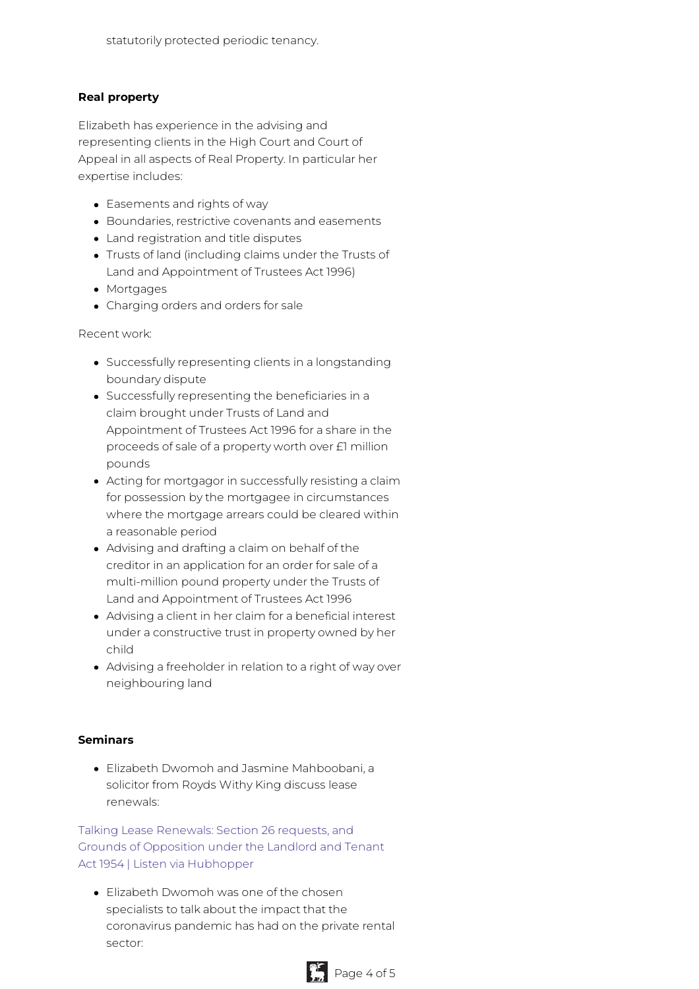#### **Real property**

Elizabeth has experience in the advising and representing clients in the High Court and Court of Appeal in all aspects of Real Property. In particular her expertise includes:

- Easements and rights of way
- Boundaries, restrictive covenants and easements
- Land registration and title disputes
- Trusts of land (including claims under the Trusts of Land and Appointment of Trustees Act 1996)
- Mortgages
- Charging orders and orders for sale

Recent work:

- Successfully representing clients in a longstanding boundary dispute
- Successfully representing the beneficiaries in a claim brought under Trusts of Land and Appointment of Trustees Act 1996 for a share in the proceeds of sale of a property worth over £1 million pounds
- Acting for mortgagor in successfully resisting a claim for possession by the mortgagee in circumstances where the mortgage arrears could be cleared within a reasonable period
- Advising and drafting a claim on behalf of the creditor in an application for an order for sale of a multi-million pound property under the Trusts of Land and Appointment of Trustees Act 1996
- Advising a client in her claim for a beneficial interest under a constructive trust in property owned by her child
- Advising a freeholder in relation to a right of way over neighbouring land

#### **Seminars**

Elizabeth Dwomoh and Jasmine Mahboobani, a solicitor from Royds Withy King discuss lease renewals:

Talking Lease Renewals: Section 26 requests, and Grounds of Opposition under the Landlord and Tenant Act 1954 | Listen via [Hubhopper](https://hubhopper.com/episode/talking-lease-renewals-section-26-requests-and-grounds-of-opposition-under-the-landlord-and-tenant-act-1954-1609499729)

Elizabeth Dwomoh was one of the chosen specialists to talk about the impact that the coronavirus pandemic has had on the private rental sector: